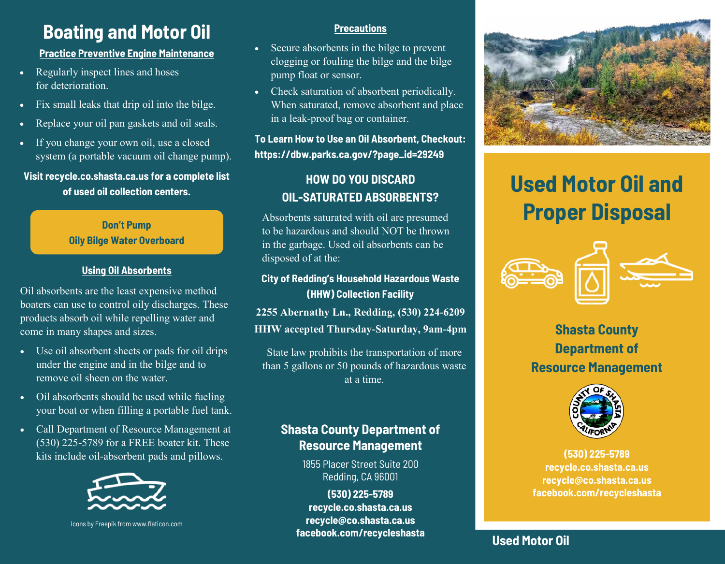## **Boating and Motor Oil**

### **Practice Preventive Engine Maintenance**

- Regularly inspect lines and hoses for deterioration.
- Fix small leaks that drip oil into the bilge.
- Replace your oil pan gaskets and oil seals.
- If you change your own oil, use a closed system (a portable vacuum oil change pump).

#### **Visit recycle.co.shasta.ca.us for a complete list of used oil collection centers.**

### **Don't Pump Oily Bilge Water Overboard**

### **Using Oil Absorbents**

Oil absorbents are the least expensive method boaters can use to control oily discharges. These products absorb oil while repelling water and come in many shapes and sizes.

- Use oil absorbent sheets or pads for oil drips under the engine and in the bilge and to remove oil sheen on the water.
- Oil absorbents should be used while fueling your boat or when filling a portable fuel tank.
- Call Department of Resource Management at (530) 225-5789 for a FREE boater kit. These kits include oil-absorbent pads and pillows.



Icons by Freepik from www.flaticon.com

#### **Precautions**

- Secure absorbents in the bilge to prevent clogging or fouling the bilge and the bilge pump float or sensor.
- Check saturation of absorbent periodically. When saturated, remove absorbent and place in a leak-proof bag or container.

### **To Learn How to Use an Oil Absorbent, Checkout: https://dbw.parks.ca.gov/?page\_id=29249**

## **HOW DO YOU DISCARD OIL-SATURATED ABSORBENTS?**

Absorbents saturated with oil are presumed to be hazardous and should NOT be thrown in the garbage. Used oil absorbents can be disposed of at the:

### **City of Redding's Household Hazardous Waste (HHW) Collection Facility**

**2255 Abernathy Ln., Redding, (530) 224-6209 HHW accepted Thursday-Saturday, 9am-4pm**

State law prohibits the transportation of more than 5 gallons or 50 pounds of hazardous waste at a time.

## **Shasta County Department of Resource Management**

1855 Placer Street Suite 200 Redding, CA 96001

**(530) 225-5789 recycle.co.shasta.ca.us recycle@co.shasta.ca.us facebook.com/recycleshasta**



# **Used Motor Oil and Proper Disposal**



## **Shasta County Department of Resource Management**



**(530) 225-5789 recycle.co.shasta.ca.us recycle@co.shasta.ca.us facebook.com/recycleshasta**

## **Used Motor Oil**